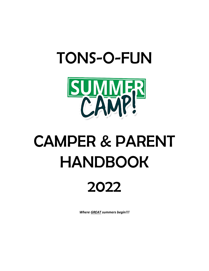## TONS-O-FUN



# CAMPER & PARENT HANDBOOK

## 2022

*Where GREAT summers begin!!!*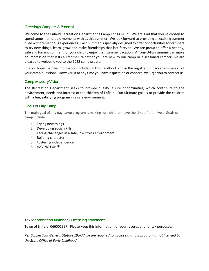#### Greetings Campers & Parents!

Welcome to the Enfield Recreation Department's Camp Tons-O-Fun! We are glad that you've chosen to spend some memorable moments with us this summer. We look forward to providing an exciting summer filled with tremendous experiences. Each summer is specially designed to offer opportunities for campers to try new things, learn, grow and make friendships that last forever. We are proud to offer a healthy, safe and fun environment for your child to enjoy their summer vacation. A Tons-O-Fun summer can make an impression that lasts a lifetime! Whether you are new to our camp or a seasoned camper, we are pleased to welcome you to the 2022 camp program.

It is our hope that the information included in this handbook and in the registration packet answers all of your camp questions. However, if at any time you have a question or concern, we urge you to contact us.

#### Camp Mission/Vision

The Recreation Department seeks to provide quality leisure opportunities, which contribute to the environment, needs and interest of the children of Enfield. Our ultimate goal is to provide the children with a fun, satisfying program in a safe environment.

#### Goals of Day Camp

The main goal of any day camp program is making sure children have the time of their lives. Goals of camp include…

- 1. Trying new things
- 2. Developing social skills
- 3. Facing challenges in a safe, low stress environment
- 4. Building character
- 5. Fostering independence
- 6. HAVING FUN!!!

#### Tax Identification Number / Licensing Statement

Town of Enfield: 066001997. Please keep this information for your records and for tax purposes.

*Per Connecticut General Statute 19a-77 we are required to disclose that our program is not licensed by the State Office of Early Childhood.*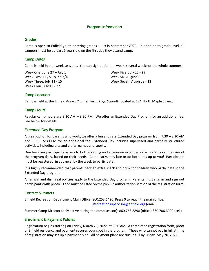#### Program Information

#### Grades

Camp is open to Enfield youth entering grades  $1 - 9$  in September 2022. In addition to grade level, all campers must be at least 5 years old on the first day they attend camp.

#### Camp Dates

Camp is held in one-week sessions. You can sign up for one week, several weeks or the whole summer!

Week One: June 27 – July 1 Week Two: July 5 - 8, no 7/4 Week Three: July 11 - 15 Week Four: July 18 - 22

Week Five: July 25 - 29 Week Six: August 1 - 5 Week Seven: August 8 - 12

#### Camp Location

Camp is held at the Enfield Annex *(Former Fermi High School),* located at 124 North Maple Street.

#### Camp Hours

Regular camp hours are 8:30 AM – 3:30 PM. We offer an Extended Day Program for an additional fee. See below for details.

#### Extended Day Program

A great option for parents who work, we offer a fun and safe Extended Day program from 7:30 – 8:30 AM and 3:30 – 5:30 PM for an additional fee. Extended Day includes supervised and partially structured activities, including arts and crafts, games and sports.

One fee gives participants access to both morning and afternoon extended care. Parents can flex use of the program daily, based on their needs. Come early, stay late or do both. It's up to you! Participants must be registered, in advance, by the week to participate.

It is highly recommended that parents pack an extra snack and drink for children who participate in the Extended Day program.

All arrival and dismissal policies apply to the Extended Day program. Parents must sign in and sign out participants with photo ID and must be listed on the pick-up authorization section of the registration form.

#### Contact Numbers

Enfield Recreation Department Main Office: 860.253.6420, Press 0 to reach the main office. [Recreationsupervisor@enfield.org](mailto:Recreationsupervisor@enfield.org) (email)

Summer Camp Director (only active during the camp season): 860.763.8898 (office) 860.706.3900 (cell)

#### Enrollment & Payment Policies

Registration begins starting on Friday, March 25, 2022, at 8:30 AM. A completed registration form, proof of Enfield residency and payment secures your spot in the program. Those who cannot pay in full at time of registration may set up a payment plan. All payment plans are due in full by Friday, May 20, 2022.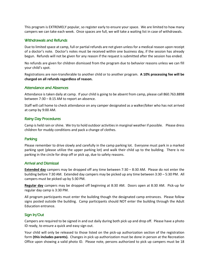This program is EXTREMELY popular, so register early to ensure your space. We are limited to how many campers we can take each week. Once spaces are full, we will take a waiting list in case of withdrawals.

#### Withdrawals and Refunds

Due to limited space at camp, full or partial refunds are not given unless for a medical reason upon receipt of a doctor's note. Doctor's notes must be received within one business day, if the session has already begun. Refunds will not be given for any reason if the request is submitted after the session has ended.

No refunds are given for children dismissed from the program due to behavior reasons unless we can fill your child's spot.

Registrations are non-transferable to another child or to another program. **A 10% processing fee will be charged on all refunds regardless of reason.** 

#### Attendance and Absences

Attendance is taken daily at camp. If your child is going to be absent from camp, please call 860.763.8898 between 7:30 – 8:15 AM to report an absence.

Staff will call home to check attendance on any camper designated as a walker/biker who has not arrived at camp by 9:00 AM.

#### Rainy Day Procedures

Camp is held rain or shine. We try to hold outdoor activities in marginal weather if possible. Please dress children for muddy conditions and pack a change of clothes.

#### Parking

Please remember to drive slowly and carefully in the camp parking lot. Everyone must park in a marked parking spot (please utilize the upper parking lot) and walk their child up to the building. There is no parking in the circle for drop off or pick up, due to safety reasons.

#### Arrival and Dismissal

**Extended day** campers may be dropped off any time between 7:30 – 8:30 AM. Please do not enter the building before 7:30 AM. Extended day campers may be picked up any time between 3:30 – 5:30 PM. All campers must be picked up by 5:30 PM.

**Regular day** campers may be dropped off beginning at 8:30 AM. Doors open at 8:30 AM. Pick-up for regular day camp is 3:30 PM.

All program participants must enter the building though the designated camp entrances. Please follow signs posted outside the building. Camp participants should NOT enter the building through the Adult Education entrance.

#### Sign In/Out

Campers are required to be signed in and out daily during both pick up and drop off. Please have a photo ID ready, to ensure a quick and easy sign out.

Your child will only be released to those listed on the pick-up authorization section of the registration form **(this includes parents).** Changes in pick up authorization must be done in person at the Recreation Office upon showing a valid photo ID. Please note, persons authorized to pick up campers must be 18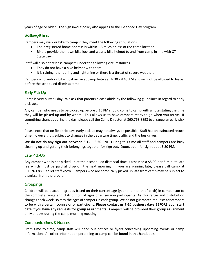years of age or older. The sign in/out policy also applies to the Extended Day program.

#### Walkers/Bikers

Campers may walk or bike to camp if they meet the following stipulations…

- Their registered home address is within 1.5 miles or less of the camp location.
- Bikers provide their own bike lock and wear a bike helmet to and from camp in line with CT State Law.

Staff will also not release campers under the following circumstances…

- They do not have a bike helmet with them.
- It is raining, thundering and lightening or there is a threat of severe weather.

Campers who walk or bike must arrive at camp between 8:30 - 8:45 AM and will not be allowed to leave before the scheduled dismissal time.

#### Early Pick-Up

Camp is very busy all day. We ask that parents please abide by the following guidelines in regard to early pick-ups.

Any camper who needs to be picked up before 3:15 PM should come to camp with a note stating the time they will be picked up and by whom. This allows us to have campers ready to go when you arrive. If something changes during the day, please call the Camp Director at 860.763.8898 to arrange an early pick up.

Please note that on field trip days early pick up may not always be possible. Staff has an estimated return time; however, it is subject to changes in the departure time, traffic and the bus driver.

**We do not do any sign out between 3:15 – 3:30 PM**. During this time all staff and campers are busy cleaning up and getting their belongings together for sign out. Doors open for sign out at 3:30 PM.

#### Late Pick-Up

Any camper who is not picked up at their scheduled dismissal time is assessed a \$5.00 per 5-minute late fee which must be paid at drop off the next morning. If you are running late, please call camp at 860.763.8898 to let staff know. Campers who are chronically picked up late from camp may be subject to dismissal from the program.

#### **Groupings**

Children will be placed in groups based on their current age (year and month of birth) in comparison to the complete range and distribution of ages of all session participants. As this range and distribution changes each week, so may the ages of campers in each group. We do not guarantee requests for campers to be with a certain counselor or participant. **Please contact us 7-10 business days BEFORE your start date if you have any requests for group assignments.** Campers will be provided their group assignment on Mondays during the camp morning meeting.

#### Communications & Notices

From time to time, camp staff will hand out notices or flyers concerning upcoming events or camp information. All other information pertaining to camp can be found in this handbook.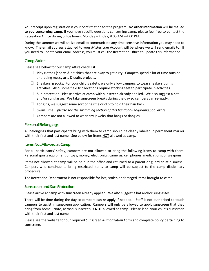Your receipt upon registration is your confirmation for the program. **No other information will be mailed to you concerning camp**. If you have specific questions concerning camp, please feel free to contact the Recreation Office during office hours, Monday – Friday, 8:00 AM – 4:00 PM.

During the summer we will utilize email to communicate any time-sensitive information you may need to know. The email address attached to your *MyRec.com* Account will be where we will send emails to. If you need to update your email address, you must call the Recreation Office to update this information.

#### Camp Attire

Please see below for our camp attire check list:

- $\Box$  Play clothes (shorts & a t-shirt) that are okay to get dirty. Campers spend a lot of time outside and doing messy arts & crafts projects.
- $\Box$  Sneakers & socks. For your child's safety, we only allow campers to wear sneakers during activities. Also, some field trip locations require stocking feet to participate in activities.
- $\Box$  Sun protection. Please arrive at camp with sunscreen already applied. We also suggest a hat and/or sunglasses. We take sunscreen breaks during the day so campers can re-apply.
- $\Box$  For girls, we suggest some sort of hair tie or clip to hold their hair back.
- Swim Time *please see the swimming section of this handbook regarding pool attire.*
- $\Box$  Campers are not allowed to wear any jewelry that hangs or dangles.

#### Personal Belongings

All belongings that participants bring with them to camp should be clearly labeled in permanent marker with their first and last name. See below for items NOT allowed at camp.

#### Items Not Allowed at Camp

For all participants' safety, campers are not allowed to bring the following items to camp with them. Personal sports equipment or toys, money, electronics, cameras, cell phones, medications, or weapons.

Items not allowed at camp will be held in the office and returned to a parent or guardian at dismissal. Campers who continue to bring restricted items to camp will be subject to the camp disciplinary procedure.

The Recreation Department is not responsible for lost, stolen or damaged items brought to camp.

#### Sunscreen and Sun Protection

Please arrive at camp with sunscreen already applied. We also suggest a hat and/or sunglasses.

There will be time during the day so campers can re-apply if needed. Staff is not authorized to touch campers to assist in sunscreen application. Campers will only be allowed to apply sunscreen that they bring from home. Note, aerosol sunscreen is **NOT** allowed at camp. Please label your child's sunscreen with their first and last name.

Please see the website for our required *Sunscreen Authorization Form* and complete policy pertaining to sunscreen.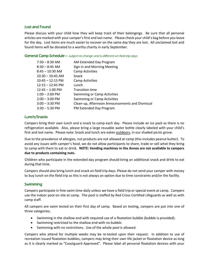#### Lost and Found

Please discuss with your child how they will keep track of their belongings. Be sure that all personal articles are marked with your camper's first and last name. Please check your child's bag before you leave for the day. Lost items are much easier to recover on the same day they are lost. All unclaimed lost and found items will be donated to a worthy charity in early September.

#### General Camp Schedule – subject to change and is different on field trip days.

| $7:30 - 8:30$ AM           | AM Extended Day Program                         |
|----------------------------|-------------------------------------------------|
| $8:30 - 8:45$ AM           | Sign in and Morning Meeting                     |
| $8:45 - 10:30$ AM          | <b>Camp Activities</b>                          |
| $10:30 - 10:45$ AM         | Snack                                           |
| $10:45 - 12:15$ PM         | <b>Camp Activities</b>                          |
| $12:15 - 12:45 \text{ PM}$ | Lunch                                           |
| $12:45 - 1:00$ PM          | <b>Transition time</b>                          |
| $1:00 - 2:00$ PM           | Swimming or Camp Activities                     |
| $2:00 - 3:00 \text{ PM}$   | Swimming or Camp Activities                     |
| $3:00 - 3:30$ PM           | Clean-up, Afternoon Announcements and Dismissal |
| $3:30 - 5:30$ PM           | PM Extended Day Program                         |
|                            |                                                 |

#### Lunch/Snacks

Campers bring their own lunch and a snack to camp each day. Please include an ice pack as there is no refrigeration available. Also, please bring a large reusable water bottle clearly labeled with your child's first and last name. Please note: Snack and lunch are eaten outdoors, in our shaded picnic grove.

Due to the prevalence of allergies, nut products are not allowed at camp (this includes peanut butter). To avoid any issues with camper's food, we do not allow participants to share, trade or sell what they bring to camp with them to eat or drink. **NOTE: Vending machines in the Annex are not available to campers due to products containing nuts.**

Children who participate in the extended day program should bring an additional snack and drink to eat during that time.

Campers should also bring lunch and snack on field trip days. Please do not send your camper with money to buy lunch on the field trip as this is not always an option due to time constraints and/or the facility.

#### Swimming

Campers participate in free swim time daily unless we have a field trip or special event at camp. Campers use the indoor pool on site at camp. The pool is staffed by Red Cross Certified Lifeguards as well as with camp staff.

All campers are swim tested on their first day of camp. Based on testing, campers are put into one of three categories;

- Swimming in the shallow end with required use of a floatation bubble (bubble is provided).
- Swimming restricted to the shallow end with no bubble.
- Swimming with no restrictions. Use of the whole pool is allowed.

Campers who attend for multiple weeks may be re-tested upon their request. In addition to use of recreation issued floatation bubbles, campers may bring their own life jacket or floatation device as long as it is clearly marked as "Coastguard Approved". Please label all personal floatation devices with your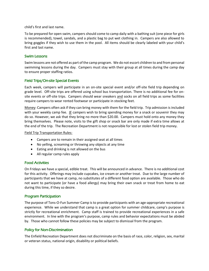child's first and last name.

To be prepared for open swim, campers should come to camp daily with a bathing suit (one piece for girls is recommended), towel, sandals, and a plastic bag to put wet clothing in. Campers are also allowed to bring goggles if they wish to use them in the pool. All items should be clearly labeled with your child's first and last name.

#### Swim Lessons

Swim lessons are not offered as part of the camp program. We do not escort children to and from personal swimming lessons during the day. Campers must stay with their group at all times during the camp day to ensure proper staffing ratios.

#### Field Trips/On-site Special Events

Each week, campers will participate in an on-site special event and/or off-site field trip depending on grade level. Off-site trips are offered using school bus transportation. There is no additional fee for onsite events or off-site trips. Campers should wear sneakers and socks on all field trips as some facilities require campers to wear rented footwear or participate in stocking feet.

Money: Campers often ask if they can bring money with them for the field trip. Trip admission is included with your weekly camp fee. IF campers wish to bring spending money for a snack or souvenir they may do so. However, we ask that they bring no more than \$20.00. Campers must hold onto any money they bring themselves. Please note, visits to the gift shop or snack bar are only made if extra time allows at the end of the trip. The Recreation Department is not responsible for lost or stolen field trip money.

#### Field Trip Transportation Rules:

- Campers are to remain in their assigned seat at all times
- No yelling, screaming or throwing any objects at any time
- Eating and drinking is not allowed on the bus
- All regular camp rules apply

#### Food Activities

On Fridays we have a special, edible treat. This will be announced in advance. There is no additional cost for this activity. Offerings may include cupcakes, ice cream or another treat. Due to the large number of participants that we have at camp, no substitutes of a different food option are available. Those who do not want to participate (or have a food allergy) may bring their own snack or treat from home to eat during this time, if they so desire.

#### Program Participation

The purpose of Tons-O-Fun Summer Camp is to provide participants with an age-appropriate recreational experience. While we understand that camp is a great option for summer childcare, camp's purpose is strictly for recreational enrichment. Camp staff is trained to provide recreational experiences in a safe environment. In line with the program's purpose, camp rules and behavior expectations must be abided by. Those who cannot follow these policies may be subject to dismissal from the program.

#### Policy for Non-Discrimination

The Enfield Recreation Department does not discriminate on the basis of race, color, religion, sex, marital or veteran status, national origin, disability or political beliefs.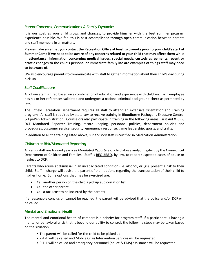#### Parent Concerns, Communications & Family Dynamics

It is our goal, as your child grows and changes, to provide him/her with the best summer program experience possible. We feel this is best accomplished through open communication between parents and staff members in all matters.

**Please make sure that you contact the Recreation Office at least two weeks prior to your child's start at Summer Camp if we need to be aware of any concerns related to your child that may affect them while in attendance. Information concerning medical issues, special needs, custody agreements, recent or drastic changes to the child's personal or immediate family life are examples of things staff may need to be aware of.** 

We also encourage parents to communicate with staff to gather information about their child's day during pick-up.

#### Staff Qualifications

All of our staff is hired based on a combination of education and experience with children. Each employee has his or her references validated and undergoes a national criminal background check as permitted by law.

The Enfield Recreation Department requires all staff to attend an extensive Orientation and Training program. All staff is required by state law to receive training in Bloodborne Pathogens Exposure Control & Epi-Pen Administration. Counselors also participate in training in the following areas: First Aid & CPR, DCF Mandated Reporter Training, record keeping, personnel policies, department policies and procedures, customer service, security, emergency response, game leadership, sports, and crafts.

In addition to all the training listed above, supervisory staff is certified in Medication Administration.

#### Children at Risk/Mandated Reporting

All camp staff are trained yearly as *Mandated Reporters* of child abuse and/or neglect by the Connecticut Department of Children and Families. Staff is REQUIRED, by law, to report suspected cases of abuse or neglect to DCF.

Parents who arrive at dismissal in an incapacitated condition (i.e. alcohol, drugs), present a risk to their child. Staff in charge will advise the parent of their options regarding the transportation of their child to his/her home. Some options that may be exercised are:

- Call another person on the child's pickup authorization list
- Call the other parent
- Call a taxi (cost to be incurred by the parent)

If a reasonable conclusion cannot be reached, the parent will be advised that the police and/or DCF will be called.

#### Mental and Emotional Health

The mental and emotional health of campers is a priority for program staff. If a participant is having a mental or behavioral crisis that is beyond our ability to control, the following steps may be taken based on the situation…

- The parent will be called for the child to be picked up.
- 2-1-1 will be called and Mobile Crisis Intervention Services will be requested.
- 9-1-1 will be called and emergency personnel (police & EMS) assistance will be requested.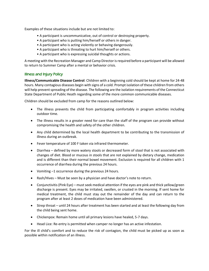Examples of these situations include but are not limited to:

- A participant is uncommunicative, out of control or destroying property.
- A participant who is putting him/herself or others in danger.
- A participant who is acting violently or behaving dangerously.
- A participant who is threating to hurt him/herself or others.
- A participant who is expressing suicidal thoughts or actions.

A meeting with the Recreation Manager and Camp Director is required before a participant will be allowed to return to Summer Camp after a mental or behavior crisis.

#### Illness and Injury Policy

**Illness/Communicable Disease Control**: Children with a beginning cold should be kept at home for 24-48 hours. Many contagious diseases begin with signs of a cold. Prompt isolation of these children from others will help prevent spreading of the disease. The following are the isolation requirements of the Connecticut State Department of Public Heath regarding some of the more common communicable diseases.

Children should be excluded from camp for the reasons outlined below:

- The illness prevents the child from participating comfortably in program activities including outdoor time.
- The illness results in a greater need for care than the staff of the program can provide without compromising the health and safety of the other children.
- Any child determined by the local health department to be contributing to the transmission of illness during an outbreak.
- Fever temperature of 100 F taken via infrared thermometer.
- Diarrhea defined by more watery stools or decreased form of stool that is not associated with changes of diet. Blood or mucous in stools that are not explained by dietary change, medication and is different than their normal bowel movement. Exclusion is required for all children with 1 occurrence of diarrhea during the previous 24 hours.
- Vomiting –1 occurrence during the previous 24 hours.
- Rash/Hives Must be seen by a physician and have doctor's note to return.
- Conjunctivitis (Pink Eye) must seek medical attention if the eyes are pink and thick yellow/green discharge is present. Eyes may be irritated, swollen, or crusted in the morning. If sent home for medical treatment, the child must stay out the remainder of the day and can return to the program after at least 2 doses of medication have been administered.
- Strep throat until 24 hours after treatment has been started and at least the following day from the child being sent home.
- Chickenpox: Remain home until all primary lesions have healed, 5-7 days.
- Head Lice: Re-entry is permitted when camper no longer has an active infestation.

For the ill child's comfort and to reduce the risk of contagion, the child must be picked up as soon as possible within notification of an illness.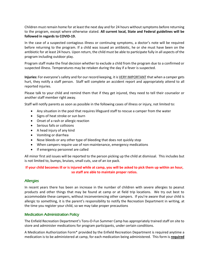Children must remain home for at least the next day and for 24 hours without symptoms before returning to the program, except where otherwise stated. **All current local, State and Federal guidelines will be followed in regards to COVID-19.**

In the case of a suspected contagious illness or continuing symptoms, a doctor's note will be required before returning to the program. If a child was issued an antibiotic, he or she must have been on the antibiotic for at least 24 hours. Upon return, the child must be able to participate fully in all aspects of the program including outdoor play.

Program staff make the final decision whether to exclude a child from the program due to a confirmed or suspected illness. Temperatures may be retaken during the day if a fever is suspected.

**Injuries:** For everyone's safety and for our record keeping, it is VERY IMPORTANT that when a camper gets hurt, they notify a staff person. Staff will complete an accident report and appropriately attend to all reported injuries.

Please talk to your child and remind them that if they get injured, they need to tell their counselor or another staff member right away.

Staff will notify parents as soon as possible in the following cases of illness or injury, not limited to:

- Any situation in the pool that requires lifeguard staff to rescue a camper from the water
- Signs of heat stroke or sun burn
- Onset of a rash or allergic reaction
- Serious falls or collisions
- A head injury of any kind
- Vomiting or diarrhea
- Nose bleeds or any other type of bleeding that does not quickly stop
- When campers require use of non-maintenance, emergency medications
- If emergency personnel are called

All minor first aid issues will be reported to the person picking up the child at dismissal. This includes but is not limited to, bumps, bruises, small cuts, use of an ice pack.

#### **If your child becomes ill or is injured while at camp, you will be asked to pick them up within an hour, so staff are able to maintain proper ratios.**

#### **Allergies**

In recent years there has been an increase in the number of children with severe allergies to peanut products and other things that may be found at camp or at field trip locations. We try out best to accommodate these campers, without inconveniencing other campers. If you're aware that your child is allergic to something, it is the parent's responsibility to notify the Recreation Department in writing, at the time you register your child, so we may take proper precautions

#### Medication Administration Policy

The Enfield Recreation Department's Tons-O-Fun Summer Camp has appropriately trained staff on site to store and administer medications for program participants, under certain conditions.

A Medication Authorization Form\* provided by the Enfield Recreation Department is required anytime a medication is to be administered at camp, for each medication being administered. This form is **required**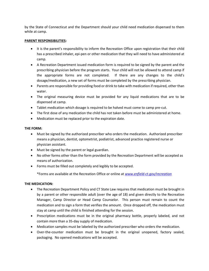by the State of Connecticut and the Department should your child need medication dispensed to them while at camp.

#### **PARENT RESPONSIBILITIES:**

- It is the parent's responsibility to inform the Recreation Office upon registration that their child has a prescribed inhaler, epi-pen or other medication that they will need to have administered at camp.
- A Recreation Department issued medication form is required to be signed by the parent and the prescribing physician before the program starts. Your child will not be allowed to attend camp if the appropriate forms are not completed. If there are any changes to the child's dosage/medication, a new set of forms must be completed by the prescribing physician.
- Parents are responsible for providing food or drink to take with medication if required, other than water.
- The original measuring device must be provided for any liquid medications that are to be dispensed at camp.
- Tablet medication which dosage is required to be halved must come to camp pre-cut.
- The first dose of any medication the child has not taken before must be administered at home.
- Medication must be replaced prior to the expiration date.

#### **THE FORM:**

- Must be signed by the authorized prescriber who orders the medication. Authorized prescriber means a physician, dentist, optometrist, podiatrist, advanced practice registered nurse or physician assistant.
- Must be signed by the parent or legal guardian.
- No other forms other than the form provided by the Recreation Department will be accepted as means of authorization.
- Forms must be filled out completely and legibly to be accepted.

\*Forms are available at the Recreation Office or online at *[www.enfield-ct.gov/recreation](http://www.enfield-ct.gov/recreation)*

#### **THE MEDICATION:**

- The Recreation Department Policy and CT State Law requires that medication must be brought in by a parent or other responsible adult (over the age of 18) and given directly to the Recreation Manager, Camp Director or Head Camp Counselor. This person must remain to count the medication and to sign a form that verifies the amount. Once dropped off, the medication must stay at camp until the child is finished attending for the session.
- Prescription medications must be in the original pharmacy bottle, properly labeled, and not contain more than a 35-day supply of medication.
- Medication samples must be labeled by the authorized prescriber who orders the medication.
- Over-the-counter medication must be brought in the original unopened, factory sealed, packaging. No opened medications will be accepted.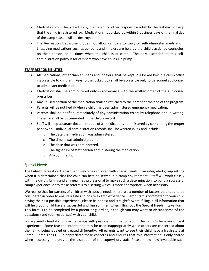- Medication must be picked up by the parent or other responsible adult by the last day of camp that the child is registered for. Medications not picked up within 5 business days of the final day of the camp season will be destroyed.
- The Recreation Department does not allow campers to carry or self-administer medication. Lifesaving medications such as epi-pens and inhalers are held by the child's assigned counselor, on their person, at all times when the child is at camp. The only exception to this selfadministration policy is for campers who have an insulin pump.

#### **STAFF RESPONSIBILITIES:**

- All medications, other than epi-pens and inhalers, shall be kept in a locked box in a camp office inaccessible to children. Keys to the locked box shall be accessible only to personnel authorized to administer medication.
- Medication shall be administered only in accordance with the written order of the authorized prescriber.
- Any unused portion of the medication shall be returned to the parent at the end of the program.
- Parents will be notified if/when a child has been administered emergency medication.
- Parents shall be notified immediately of any administration errors by telephone and in writing. The error shall be documented in the child's record.
- Staff will keep accurate documentation of all medications administered by completing the proper paperwork. Individual administration records shall be written in ink and include:
	- o The date the medication was administered.
	- o The time it was administered.
	- o The dose that was administered.
	- o The signature of staff person administering the medication.
	- o Any comments.

#### Special Needs

The Enfield Recreation Department welcomes children with special needs in an integrated group setting when it is determined that the child can best be served in a camp environment. Staff will work closely with the child's family and any qualified professional to make such a determination, to build a successful camp experience, or to make referrals to a setting which is more appropriate, when necessary.

We realize that for parents of children with special needs, there are a number of factors that need to be considered in order to ensure a safe and positive camp experience. Camp staff is committed to your child having the best possible experience. Please be honest and straightforward, filling in all information that will help your child have a successful and fun summer, when filling out the Special Needs Intake Form. This form is to be completed by a parent or guardian, although you may want to discuss some of the questions (and your responses) with your child.

Some parents hesitate to provide camps with personal information about their child's behavior or past experience. Some fear the information may be used inappropriately while others are concerned about their child being labeled or treated differently. All parents want to see their child have a fresh start at Camp. Camp Tons-O-Fun appreciates these concerns and ensures that this information is only shared when necessary and only at the discretion of the supervisory staff. Please know how invaluable such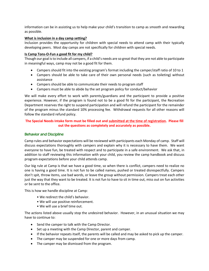information can be in assisting us to help make your child's transition to camp as smooth and rewarding as possible.

#### **What is inclusion in a day camp setting?**

Inclusion provides the opportunity for children with special needs to attend camp with their typically developing peers. Most day camps are not specifically for children with special needs.

#### **Is Camp Tons-O-Fun a good fit for my child?**

Though our goal is to include all campers, if a child's needs are so great that they are not able to participate in meaningful ways, camp may not be a good fit for them.

- Campers should fit into the existing program's format including the camper/staff ratio of 10 to 1
- Campers should be able to take care of their own personal needs (such as toileting) without assistance
- Campers should be able to communicate their needs to program staff
- Campers must be able to abide by the set program policy for conduct/behavior

We will make every effort to work with parents/guardians and the participant to provide a positive experience. However, if the program is found not to be a good fit for the participant, the Recreation Department reserves the right to suspend participation and will refund the participant for the remainder of the program minus the standard 10% processing fee. Withdrawal requests for all other reasons will follow the standard refund policy.

#### **The Special Needs Intake form must be filled out and submitted at the time of registration. Please fill out the questions as completely and accurately as possible.**

#### Behavior and Discipline

Camp rules and behavior expectations will be reviewed with participants each Monday of camp. Staff will discuss expectations thoroughly with campers and explain why it is necessary to have them. We want everyone to have fun, be treated with respect and to participate in a safe environment. We ask that, in addition to staff reviewing this information with your child, you review the camp handbook and discuss program expectations before your child attends camp.

Our big rule at Camp is that we have a good time, so when there is conflict, campers need to realize no one is having a good time. It is not fun to be called names, pushed or treated disrespectfully. Campers don't spit, throw items, use bad words, or leave the group without permission. Campers treat each other just the way that they want to be treated. It is not fun to have to sit in time out, miss out on fun activities or be sent to the office.

This is how we handle discipline at Camp:

- We redirect the child's behavior.
- We will use positive reinforcement.
- We will use a brief time out.

The actions listed above usually stop the undesired behavior. However, in an unusual situation we may have to continue to:

- Send the camper to talk with the Camp Director.
- Set up a meeting with the Camp Director, parent and camper.
- If the behavior repeats itself, the parents will be called and may be asked to pick up the camper.
- The camper may be suspended for one or more days from camp.
- The camper may be dismissed from the program.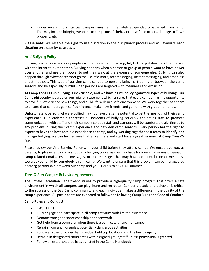• Under severe circumstances, campers may be immediately suspended or expelled from camp. This may include bringing weapons to camp, unsafe behavior to self and others, damage to Town property, etc.

**Please note**: We reserve the right to use discretion in the disciplinary process and will evaluate each situation on a case-by-case basis.

#### Anti-Bullying Policy

Bullying is when one or more people exclude, tease, taunt, gossip, hit, kick, or put down another person with the intent to hurt another. Bullying happens when a person or group of people want to have power over another and use their power to get their way, at the expense of someone else. Bullying can also happen through cyberspace: through the use of e-mails, text messaging, instant messaging, and other less direct methods. This type of bullying can also lead to persons being hurt during or between the camp seasons and be especially hurtful when persons are targeted with meanness and exclusion.

**At Camp Tons-O-Fun bullying is inexcusable, and we have a firm policy against all types of bullying.** Our Camp philosophy is based on our mission statement which ensures that every camper has the opportunity to have fun, experience new things, and build life skills in a safe environment. We work together as a team to ensure that campers gain self-confidence, make new friends, and go home with great memories.

Unfortunately, persons who are bullied may not have the same potential to get the most out of their camp experience. Our leadership addresses all incidents of bullying seriously and trains staff to promote communication with staff and their campers so both staff and campers will be comfortable alerting us to any problems during their camp experience and between camp seasons. Every person has the right to expect to have the best possible experience at camp, and by working together as a team to identify and manage bullying, we can help ensure that all campers and staff have a great summer at Camp Tons-O-Fun.

Please review our Anti-Bullying Policy with your child before they attend camp**.** We encourage you, as parents, to please let us know about any bullying concerns you may have for your child or any off-season, camp-related emails, instant messages, or text-messages that may have led to exclusion or meanness towards your child by somebody else in camp. We want to ensure that this problem can be managed by a strong partnership between our camp and you. Here's to a GREAT summer!

#### Tons-O-Fun Camper Behavior Agreement

The Enfield Recreation Department strives to provide a high-quality camp program that offers a safe environment in which all campers can play, learn and recreate. Camper attitude and behavior is critical to the success of the Day Camp community and each individual makes a difference in the quality of the camp experience. All participants are expected to follow the following Camp Rules and Code of Conduct.

#### **Camp Rules and Conduct**

- HAVE FUN!
- Fully engage and participate in all camp activities with limited assistance
- Demonstrate good sportsmanship and teamwork
- Get help from a counselor when there is a conflict with another camper
- Refrain from any horseplay/potentially dangerous activities
- Follow all rules provided by individual field trip locations and the bus company
- Remain in designated camp areas with assigned group/staff unless permission is granted
- Follow all established policies as listed in the Camp Handbook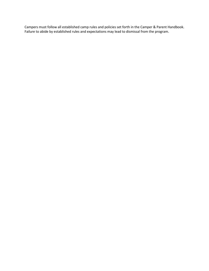Campers must follow all established camp rules and policies set forth in the Camper & Parent Handbook. Failure to abide by established rules and expectations may lead to dismissal from the program.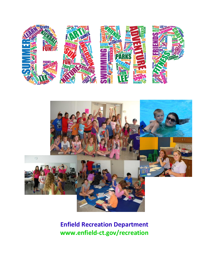



### **Enfield Recreation Department www.enfield-ct.gov/recreation**